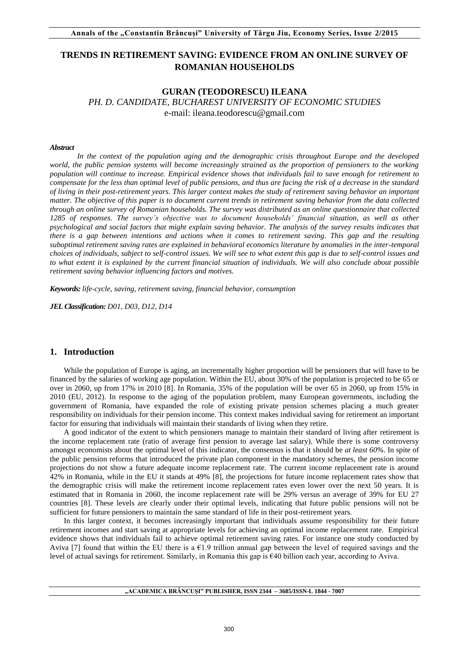# **TRENDS IN RETIREMENT SAVING: EVIDENCE FROM AN ONLINE SURVEY OF ROMANIAN HOUSEHOLDS**

## **GURAN (TEODORESCU) ILEANA**  *PH. D. CANDIDATE, BUCHAREST UNIVERSITY OF ECONOMIC STUDIES*  e-mail: ileana.teodorescu@gmail.com

#### *Abstract*

*In the context of the population aging and the demographic crisis throughout Europe and the developed world, the public pension systems will become increasingly strained as the proportion of pensioners to the working population will continue to increase. Empirical evidence shows that individuals fail to save enough for retirement to compensate for the less than optimal level of public pensions, and thus are facing the risk of a decrease in the standard of living in their post-retirement years. This larger context makes the study of retirement saving behavior an important matter. The objective of this paper is to document current trends in retirement saving behavior from the data collected through an online survey of Romanian households. The survey was distributed as an online questionnaire that collected 1285 of responses. The survey's objective was to document households' financial situation, as well as other psychological and social factors that might explain saving behavior. The analysis of the survey results indicates that there is a gap between intentions and actions when it comes to retirement saving. This gap and the resulting suboptimal retirement saving rates are explained in behavioral economics literature by anomalies in the inter-temporal choices of individuals, subject to self-control issues. We will see to what extent this gap is due to self-control issues and to what extent it is explained by the current financial situation of individuals. We will also conclude about possible retirement saving behavior influencing factors and motives.* 

*Keywords: life-cycle, saving, retirement saving, financial behavior, consumption* 

*JEL Classification: D01, D03, D12, D14*

### **1. Introduction**

While the population of Europe is aging, an incrementally higher proportion will be pensioners that will have to be financed by the salaries of working age population. Within the EU, about 30% of the population is projected to be 65 or over in 2060, up from 17% in 2010 [8]. In Romania, 35% of the population will be over 65 in 2060, up from 15% in 2010 (EU, 2012). In response to the aging of the population problem, many European governments, including the government of Romania, have expanded the role of existing private pension schemes placing a much greater responsibility on individuals for their pension income. This context makes individual saving for retirement an important factor for ensuring that individuals will maintain their standards of living when they retire.

A good indicator of the extent to which pensioners manage to maintain their standard of living after retirement is the income replacement rate (ratio of average first pension to average last salary). While there is some controversy amongst economists about the optimal level of this indicator, the consensus is that it should be *at least 60%.* In spite of the public pension reforms that introduced the private plan component in the mandatory schemes, the pension income projections do not show a future adequate income replacement rate. The current income replacement rate is around 42% in Romania, while in the EU it stands at 49% [8], the projections for future income replacement rates show that the demographic crisis will make the retirement income replacement rates even lower over the next 50 years. It is estimated that in Romania in 2060, the income replacement rate will be 29% versus an average of 39% for EU 27 countries [8]. These levels are clearly under their optimal levels, indicating that future public pensions will not be sufficient for future pensioners to maintain the same standard of life in their post-retirement years.

In this larger context, it becomes increasingly important that individuals assume responsibility for their future retirement incomes and start saving at appropriate levels for achieving an optimal income replacement rate. Empirical evidence shows that individuals fail to achieve optimal retirement saving rates. For instance one study conducted by Aviva [7] found that within the EU there is a  $\epsilon$ 1.9 trillion annual gap between the level of required savings and the level of actual savings for retirement. Similarly, in Romania this gap is €40 billion each year, according to Aviva.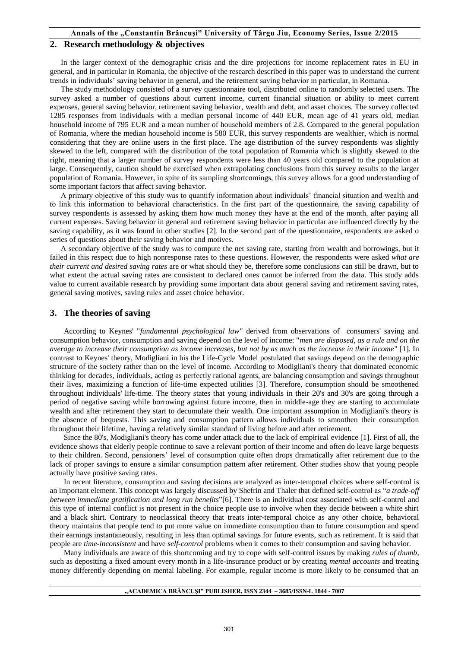### **Annals of the "Constantin Brâncuşi" University of Târgu Jiu, Economy Series, Issue 2/2015**

### **2. Research methodology & objectives**

In the larger context of the demographic crisis and the dire projections for income replacement rates in EU in general, and in particular in Romania, the objective of the research described in this paper was to understand the current trends in individuals' saving behavior in general, and the retirement saving behavior in particular, in Romania.

The study methodology consisted of a survey questionnaire tool, distributed online to randomly selected users. The survey asked a number of questions about current income, current financial situation or ability to meet current expenses, general saving behavior, retirement saving behavior, wealth and debt, and asset choices. The survey collected 1285 responses from individuals with a median personal income of 440 EUR, mean age of 41 years old, median household income of 795 EUR and a mean number of household members of 2.8. Compared to the general population of Romania, where the median household income is 580 EUR, this survey respondents are wealthier, which is normal considering that they are online users in the first place. The age distribution of the survey respondents was slightly skewed to the left, compared with the distribution of the total population of Romania which is slightly skewed to the right, meaning that a larger number of survey respondents were less than 40 years old compared to the population at large. Consequently, caution should be exercised when extrapolating conclusions from this survey results to the larger population of Romania. However, in spite of its sampling shortcomings, this survey allows for a good understanding of some important factors that affect saving behavior.

A primary objective of this study was to quantify information about individuals' financial situation and wealth and to link this information to behavioral characteristics. In the first part of the questionnaire, the saving capability of survey respondents is assessed by asking them how much money they have at the end of the month, after paying all current expenses. Saving behavior in general and retirement saving behavior in particular are influenced directly by the saving capability, as it was found in other studies [2]. In the second part of the questionnaire, respondents are asked o series of questions about their saving behavior and motives.

A secondary objective of the study was to compute the net saving rate, starting from wealth and borrowings, but it failed in this respect due to high nonresponse rates to these questions. However, the respondents were asked *what are their current and desired saving rates* are or what should they be, therefore some conclusions can still be drawn, but to what extent the actual saving rates are consistent to declared ones cannot be inferred from the data. This study adds value to current available research by providing some important data about general saving and retirement saving rates, general saving motives, saving rules and asset choice behavior.

### **3. The theories of saving**

According to Keynes' "*fundamental psychological law"* derived from observations of consumers' saving and consumption behavior, consumption and saving depend on the level of income: "*men are disposed, as a rule and on the average to increase their consumption as income increases, but not by as much as the increase in their income*" [1]. In contrast to Keynes' theory, Modigliani in his the Life-Cycle Model postulated that savings depend on the demographic structure of the society rather than on the level of income. According to Modigliani's theory that dominated economic thinking for decades, individuals, acting as perfectly rational agents, are balancing consumption and savings throughout their lives, maximizing a function of life-time expected utilities [3]. Therefore, consumption should be smoothened throughout individuals' life-time. The theory states that young individuals in their 20's and 30's are going through a period of negative saving while borrowing against future income, then in middle-age they are starting to accumulate wealth and after retirement they start to decumulate their wealth. One important assumption in Modigliani's theory is the absence of bequests. This saving and consumption pattern allows individuals to smoothen their consumption throughout their lifetime, having a relatively similar standard of living before and after retirement.

Since the 80's, Modigliani's theory has come under attack due to the lack of empirical evidence [1]. First of all, the evidence shows that elderly people continue to save a relevant portion of their income and often do leave large bequests to their children. Second, pensioners' level of consumption quite often drops dramatically after retirement due to the lack of proper savings to ensure a similar consumption pattern after retirement. Other studies show that young people actually have positive saving rates.

In recent literature, consumption and saving decisions are analyzed as inter-temporal choices where self-control is an important element. This concept was largely discussed by Shefrin and Thaler that defined self-control as "*a trade-off between immediate gratification and long run benefits*"[6]. There is an individual cost associated with self-control and this type of internal conflict is not present in the choice people use to involve when they decide between a white shirt and a black shirt. Contrary to neoclassical theory that treats inter-temporal choice as any other choice, behavioral theory maintains that people tend to put more value on immediate consumption than to future consumption and spend their earnings instantaneously, resulting in less than optimal savings for future events, such as retirement. It is said that people are *time-inconsistent* and have *self-control* problems when it comes to their consumption and saving behavior.

Many individuals are aware of this shortcoming and try to cope with self-control issues by making *rules of thumb*, such as depositing a fixed amount every month in a life-insurance product or by creating *mental accounts* and treating money differently depending on mental labeling. For example, regular income is more likely to be consumed that an

#### **"ACADEMICA BRÂNCUŞI" PUBLISHER, ISSN 2344 – 3685/ISSN-L 1844 - 7007**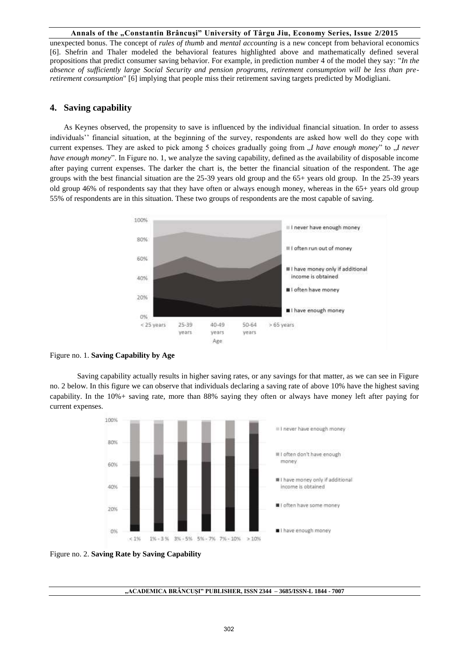#### **Annals of the "Constantin Brâncuşi" University of Târgu Jiu, Economy Series, Issue 2/2015**

unexpected bonus. The concept of *rules of thumb* and *mental accounting* is a new concept from behavioral economics [6]. Shefrin and Thaler modeled the behavioral features highlighted above and mathematically defined several propositions that predict consumer saving behavior. For example, in prediction number 4 of the model they say: "*In the absence of sufficiently large Social Security and pension programs, retirement consumption will be less than preretirement consumption*" [6] implying that people miss their retirement saving targets predicted by Modigliani.

## **4. Saving capability**

As Keynes observed, the propensity to save is influenced by the individual financial situation. In order to assess individuals'' financial situation, at the beginning of the survey, respondents are asked how well do they cope with current expenses. They are asked to pick among 5 choices gradually going from  $\mu$  *have enough money*" to  $\mu$  *never have enough money*". In Figure no. 1, we analyze the saving capability, defined as the availability of disposable income after paying current expenses. The darker the chart is, the better the financial situation of the respondent. The age groups with the best financial situation are the 25-39 years old group and the 65+ years old group. In the 25-39 years old group 46% of respondents say that they have often or always enough money, whereas in the 65+ years old group 55% of respondents are in this situation. These two groups of respondents are the most capable of saving.



Figure no. 1. **Saving Capability by Age**

Saving capability actually results in higher saving rates, or any savings for that matter, as we can see in Figure no. 2 below. In this figure we can observe that individuals declaring a saving rate of above 10% have the highest saving capability. In the 10%+ saving rate, more than 88% saying they often or always have money left after paying for current expenses.



Figure no. 2. **Saving Rate by Saving Capability**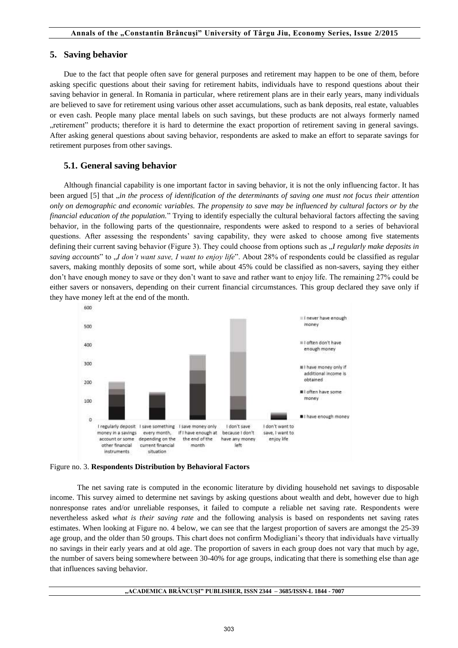### **5. Saving behavior**

Due to the fact that people often save for general purposes and retirement may happen to be one of them, before asking specific questions about their saving for retirement habits, individuals have to respond questions about their saving behavior in general. In Romania in particular, where retirement plans are in their early years, many individuals are believed to save for retirement using various other asset accumulations, such as bank deposits, real estate, valuables or even cash. People many place mental labels on such savings, but these products are not always formerly named retirement" products; therefore it is hard to determine the exact proportion of retirement saving in general savings. After asking general questions about saving behavior, respondents are asked to make an effort to separate savings for retirement purposes from other savings.

### **5.1. General saving behavior**

Although financial capability is one important factor in saving behavior, it is not the only influencing factor. It has been argued [5] that *<sub>i</sub>in the process of identification of the determinants of saving one must not focus their attention only on demographic and economic variables. The propensity to save may be influenced by cultural factors or by the financial education of the population.*" Trying to identify especially the cultural behavioral factors affecting the saving behavior, in the following parts of the questionnaire, respondents were asked to respond to a series of behavioral questions. After assessing the respondents' saving capability, they were asked to choose among five statements defining their current saving behavior (Figure 3). They could choose from options such as  $J$  *regularly make deposits in saving accounts*" to "*I don't want save, I want to enjoy life*". About 28% of respondents could be classified as regular savers, making monthly deposits of some sort, while about 45% could be classified as non-savers, saying they either don't have enough money to save or they don't want to save and rather want to enjoy life. The remaining 27% could be either savers or nonsavers, depending on their current financial circumstances. This group declared they save only if they have money left at the end of the month.



Figure no. 3. **Respondents Distribution by Behavioral Factors**

The net saving rate is computed in the economic literature by dividing household net savings to disposable income. This survey aimed to determine net savings by asking questions about wealth and debt, however due to high nonresponse rates and/or unreliable responses, it failed to compute a reliable net saving rate. Respondents were nevertheless asked *what is their saving rate* and the following analysis is based on respondents net saving rates estimates. When looking at Figure no. 4 below, we can see that the largest proportion of savers are amongst the 25-39 age group, and the older than 50 groups. This chart does not confirm Modigliani's theory that individuals have virtually no savings in their early years and at old age. The proportion of savers in each group does not vary that much by age, the number of savers being somewhere between 30-40% for age groups, indicating that there is something else than age that influences saving behavior.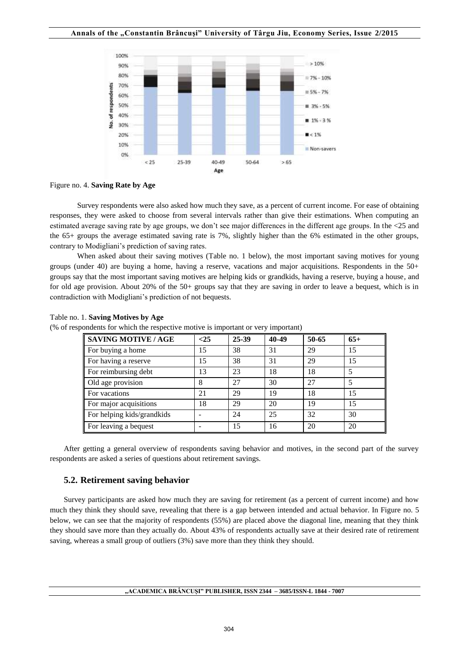

Figure no. 4. **Saving Rate by Age**

Survey respondents were also asked how much they save, as a percent of current income. For ease of obtaining responses, they were asked to choose from several intervals rather than give their estimations. When computing an estimated average saving rate by age groups, we don't see major differences in the different age groups. In the <25 and the 65+ groups the average estimated saving rate is 7%, slightly higher than the 6% estimated in the other groups, contrary to Modigliani's prediction of saving rates.

When asked about their saving motives (Table no. 1 below), the most important saving motives for young groups (under 40) are buying a home, having a reserve, vacations and major acquisitions. Respondents in the 50+ groups say that the most important saving motives are helping kids or grandkids, having a reserve, buying a house, and for old age provision. About 20% of the 50+ groups say that they are saving in order to leave a bequest, which is in contradiction with Modigliani's prediction of not bequests.

| <b>SAVING MOTIVE / AGE</b> | $25$ | 25-39 | 40-49 | 50-65 | $65+$ |
|----------------------------|------|-------|-------|-------|-------|
| For buying a home          | 15   | 38    | 31    | 29    | 15    |
| For having a reserve       | 15   | 38    | 31    | 29    | 15    |
| For reimbursing debt       | 13   | 23    | 18    | 18    | 5     |
| Old age provision          | 8    | 27    | 30    | 27    | 5     |
| For vacations              | 21   | 29    | 19    | 18    | 15    |
| For major acquisitions     | 18   | 29    | 20    | 19    | 15    |
| For helping kids/grandkids |      | 24    | 25    | 32    | 30    |
| For leaving a bequest      |      | 15    | 16    | 20    | 20    |

Table no. 1. **Saving Motives by Age**

(% of respondents for which the respective motive is important or very important)

After getting a general overview of respondents saving behavior and motives, in the second part of the survey respondents are asked a series of questions about retirement savings.

## **5.2. Retirement saving behavior**

Survey participants are asked how much they are saving for retirement (as a percent of current income) and how much they think they should save, revealing that there is a gap between intended and actual behavior. In Figure no. 5 below, we can see that the majority of respondents (55%) are placed above the diagonal line, meaning that they think they should save more than they actually do. About 43% of respondents actually save at their desired rate of retirement saving, whereas a small group of outliers (3%) save more than they think they should.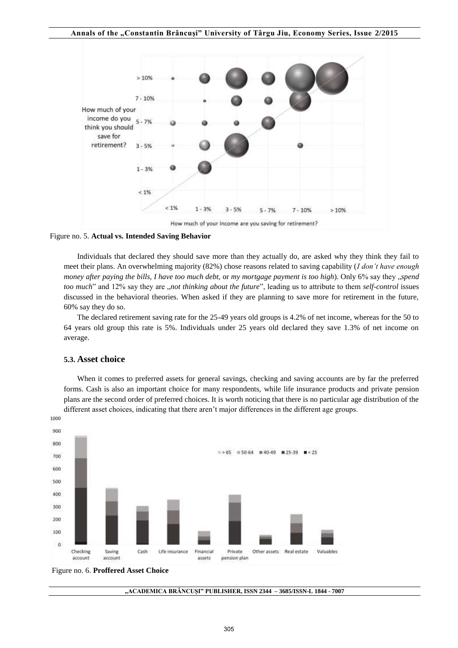

Figure no. 5. **Actual vs. Intended Saving Behavior**

Individuals that declared they should save more than they actually do, are asked why they think they fail to meet their plans. An overwhelming majority (82%) chose reasons related to saving capability (*I don't have enough money after paying the bills, I have too much debt, or my mortgage payment is too high*). Only 6% say they "*spend too much*" and 12% say they are *"not thinking about the future*", leading us to attribute to them *self-control* issues discussed in the behavioral theories. When asked if they are planning to save more for retirement in the future, 60% say they do so.

The declared retirement saving rate for the 25-49 years old groups is 4.2% of net income, whereas for the 50 to 64 years old group this rate is 5%. Individuals under 25 years old declared they save 1.3% of net income on average.

### **5.3. Asset choice**

When it comes to preferred assets for general savings, checking and saving accounts are by far the preferred forms. Cash is also an important choice for many respondents, while life insurance products and private pension plans are the second order of preferred choices. It is worth noticing that there is no particular age distribution of the different asset choices, indicating that there aren't major differences in the different age groups.



Figure no. 6. **Proffered Asset Choice** 

**"ACADEMICA BRÂNCUŞI" PUBLISHER, ISSN 2344 – 3685/ISSN-L 1844 - 7007**